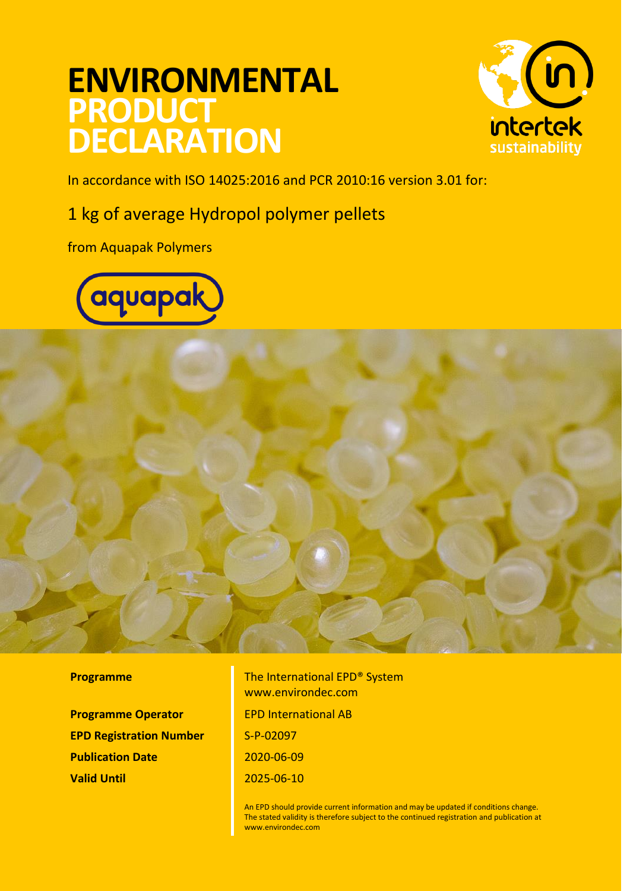# **ENVIRONMENTAL PRODUCT DECLARATION**



In accordance with ISO 14025:2016 and PCR 2010:16 version 3.01 for:

### 1 kg of average Hydropol polymer pellets

from Aquapak Polymers





**Programme Operator FIGULE EPD International AB EPD Registration Number** S-P-02097 **Publication Date** 2020-06-09 **Valid Until** 2025-06-10

**Programme** The International EPD<sup>®</sup> System www.environdec.com

> An EPD should provide current information and may be updated if conditions change. The stated validity is therefore subject to the continued registration and publication at [www.environdec.com](http://www.environdec.com/)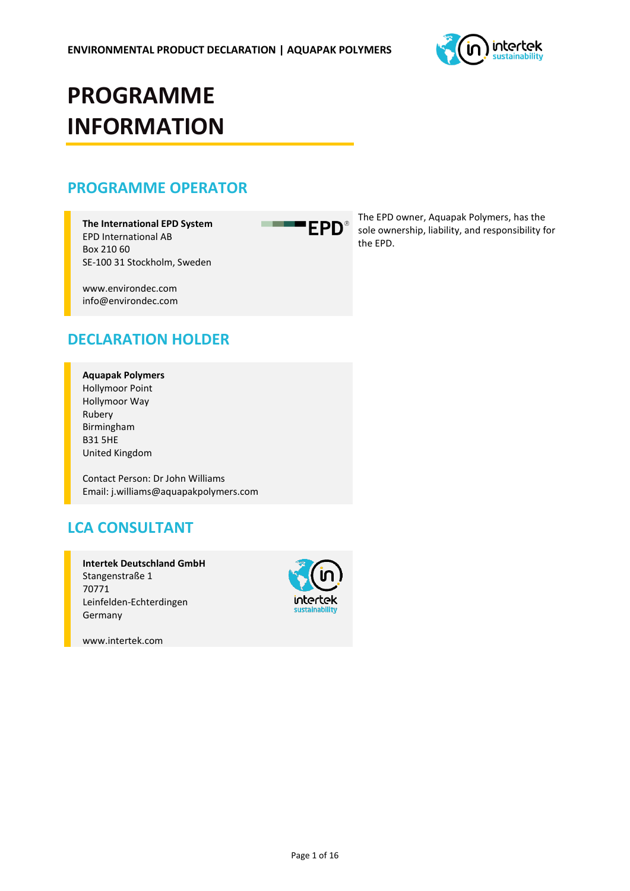

# **PROGRAMME INFORMATION**

### **PROGRAMME OPERATOR**

**The International EPD System** EPD International AB Box 210 60 SE-100 31 Stockholm, Sweden

www.environdec.com info@environdec.com

### **DECLARATION HOLDER**

#### **Aquapak Polymers**

Hollymoor Point Hollymoor Way Rubery Birmingham B31 5HE United Kingdom

Contact Person: Dr John Williams Email: j.williams@aquapakpolymers.com

### **LCA CONSULTANT**

**Intertek Deutschland GmbH** Stangenstraße 1 70771 Leinfelden-Echterdingen Germany



www.intertek.com

**EPD**®

**CONTRACTOR** 

The EPD owner, Aquapak Polymers, has the sole ownership, liability, and responsibility for the EPD.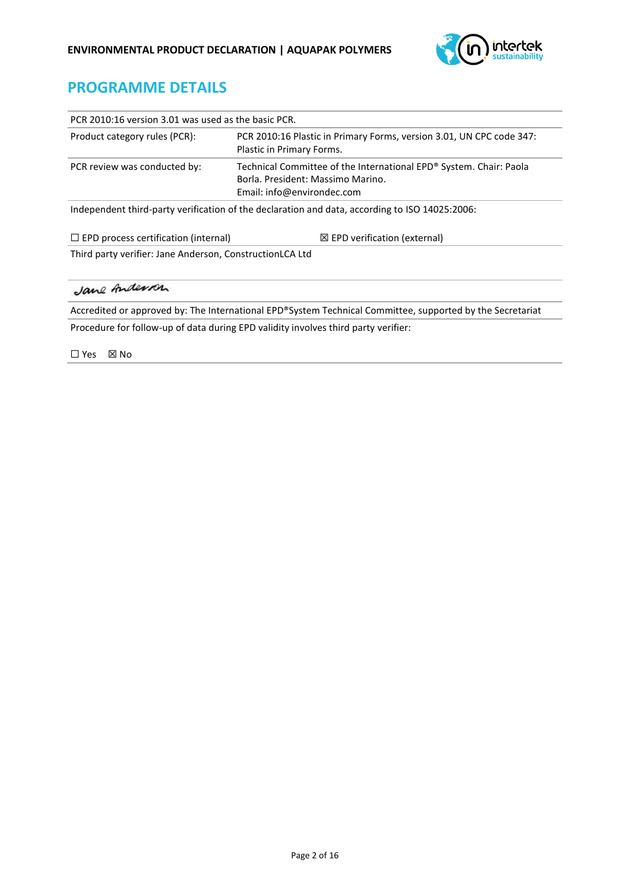

### **PROGRAMME DETAILS**

| PCR 2010:16 version 3.01 was used as the basic PCR.                                                                                                                   |                                                                                                        |  |  |  |  |
|-----------------------------------------------------------------------------------------------------------------------------------------------------------------------|--------------------------------------------------------------------------------------------------------|--|--|--|--|
| Product category rules (PCR):<br>PCR 2010:16 Plastic in Primary Forms, version 3.01, UN CPC code 347:<br>Plastic in Primary Forms.                                    |                                                                                                        |  |  |  |  |
| Technical Committee of the International EPD® System. Chair: Paola<br>PCR review was conducted by:<br>Borla, President: Massimo Marino.<br>Email: info@environdec.com |                                                                                                        |  |  |  |  |
|                                                                                                                                                                       | Independent third-party verification of the declaration and data, according to ISO 14025:2006:         |  |  |  |  |
| $\Box$ EPD process certification (internal)<br>$\boxtimes$ EPD verification (external)                                                                                |                                                                                                        |  |  |  |  |
| Third party verifier: Jane Anderson, ConstructionLCA Ltd                                                                                                              |                                                                                                        |  |  |  |  |
| Jane Anderson                                                                                                                                                         |                                                                                                        |  |  |  |  |
|                                                                                                                                                                       | Accredited argumented by The International EDD®Cystem Technical Committee supported by the Cocretariat |  |  |  |  |

Accredited or approved by: The International EPD®System Technical Committee, supported by the Secretariat Procedure for follow-up of data during EPD validity involves third party verifier:

☐ Yes ☒ No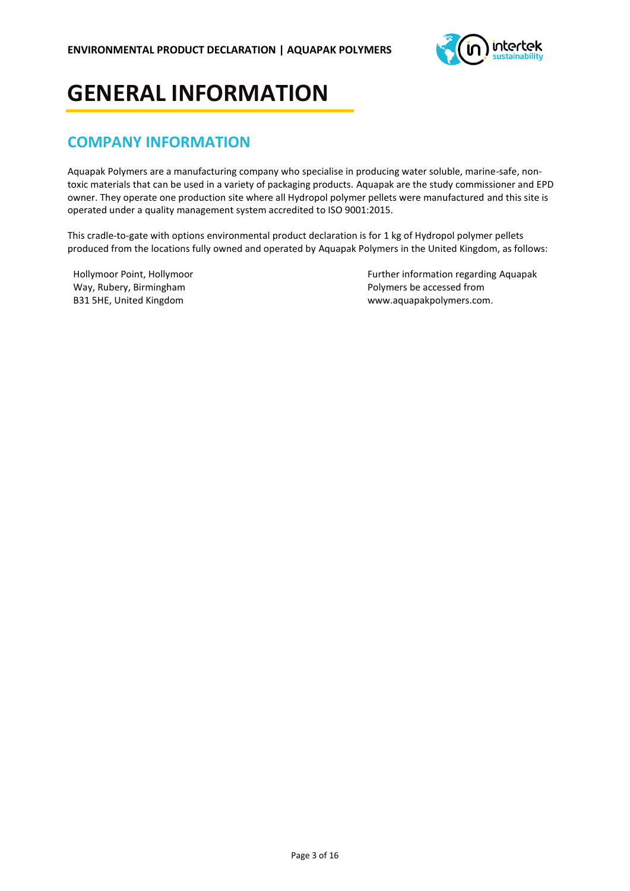

## **GENERAL INFORMATION**

### **COMPANY INFORMATION**

Aquapak Polymers are a manufacturing company who specialise in producing water soluble, marine-safe, nontoxic materials that can be used in a variety of packaging products. Aquapak are the study commissioner and EPD owner. They operate one production site where all Hydropol polymer pellets were manufactured and this site is operated under a quality management system accredited to ISO 9001:2015.

This cradle-to-gate with options environmental product declaration is for 1 kg of Hydropol polymer pellets produced from the locations fully owned and operated by Aquapak Polymers in the United Kingdom, as follows:

Hollymoor Point, Hollymoor Way, Rubery, Birmingham B31 5HE, United Kingdom

Further information regarding Aquapak Polymers be accessed from www.aquapakpolymers.com.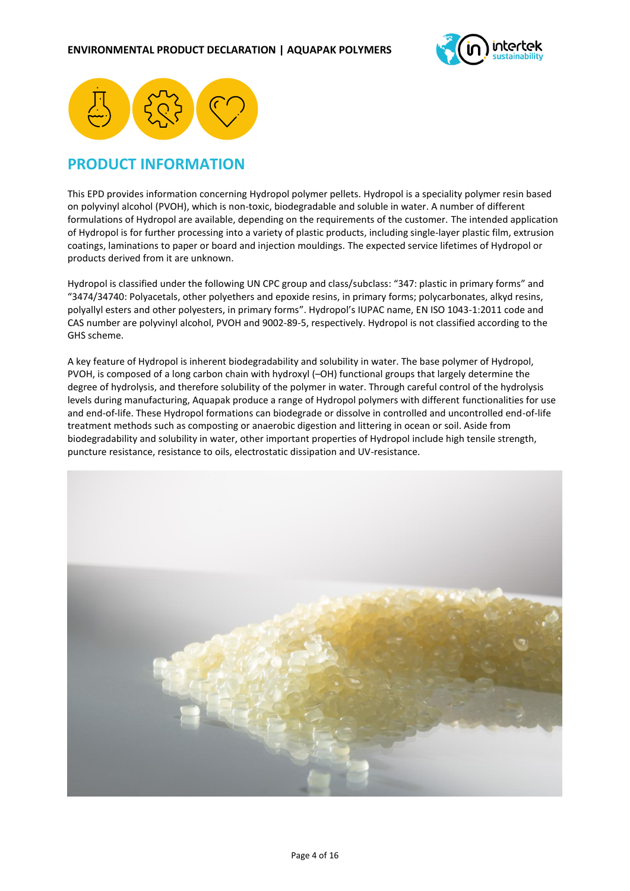



### **PRODUCT INFORMATION**

This EPD provides information concerning Hydropol polymer pellets. Hydropol is a speciality polymer resin based on polyvinyl alcohol (PVOH), which is non-toxic, biodegradable and soluble in water. A number of different formulations of Hydropol are available, depending on the requirements of the customer. The intended application of Hydropol is for further processing into a variety of plastic products, including single-layer plastic film, extrusion coatings, laminations to paper or board and injection mouldings. The expected service lifetimes of Hydropol or products derived from it are unknown.

Hydropol is classified under the following UN CPC group and class/subclass: "347: plastic in primary forms" and "3474/34740: Polyacetals, other polyethers and epoxide resins, in primary forms; polycarbonates, alkyd resins, polyallyl esters and other polyesters, in primary forms". Hydropol's IUPAC name, EN ISO 1043-1:2011 code and CAS number are polyvinyl alcohol, PVOH and 9002-89-5, respectively. Hydropol is not classified according to the GHS scheme.

A key feature of Hydropol is inherent biodegradability and solubility in water. The base polymer of Hydropol, PVOH, is composed of a long carbon chain with hydroxyl (–OH) functional groups that largely determine the degree of hydrolysis, and therefore solubility of the polymer in water. Through careful control of the hydrolysis levels during manufacturing, Aquapak produce a range of Hydropol polymers with different functionalities for use and end-of-life. These Hydropol formations can biodegrade or dissolve in controlled and uncontrolled end-of-life treatment methods such as composting or anaerobic digestion and littering in ocean or soil. Aside from biodegradability and solubility in water, other important properties of Hydropol include high tensile strength, puncture resistance, resistance to oils, electrostatic dissipation and UV-resistance.

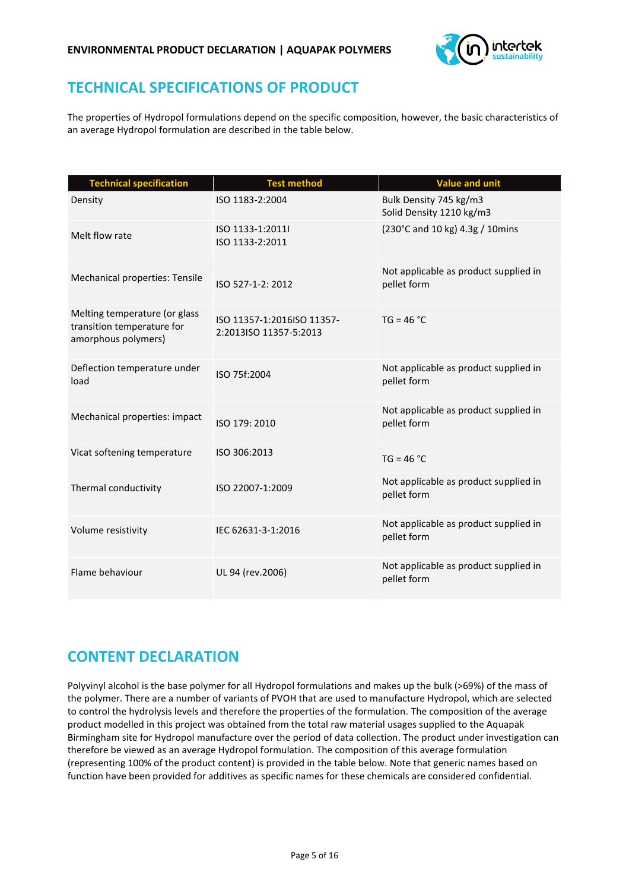

### **TECHNICAL SPECIFICATIONS OF PRODUCT**

The properties of Hydropol formulations depend on the specific composition, however, the basic characteristics of an average Hydropol formulation are described in the table below.

| <b>Technical specification</b>                                                     | <b>Test method</b>                                   | <b>Value and unit</b>                                |
|------------------------------------------------------------------------------------|------------------------------------------------------|------------------------------------------------------|
| Density                                                                            | ISO 1183-2:2004                                      | Bulk Density 745 kg/m3<br>Solid Density 1210 kg/m3   |
| Melt flow rate                                                                     | ISO 1133-1:2011I<br>ISO 1133-2:2011                  | (230°C and 10 kg) 4.3g / 10mins                      |
| Mechanical properties: Tensile                                                     | ISO 527-1-2: 2012                                    | Not applicable as product supplied in<br>pellet form |
| Melting temperature (or glass<br>transition temperature for<br>amorphous polymers) | ISO 11357-1:2016ISO 11357-<br>2:2013ISO 11357-5:2013 | $TG = 46 °C$                                         |
| Deflection temperature under<br>load                                               | ISO 75f:2004                                         | Not applicable as product supplied in<br>pellet form |
| Mechanical properties: impact                                                      | ISO 179: 2010                                        | Not applicable as product supplied in<br>pellet form |
| Vicat softening temperature                                                        | ISO 306:2013                                         | $TG = 46 °C$                                         |
| Thermal conductivity                                                               | ISO 22007-1:2009                                     | Not applicable as product supplied in<br>pellet form |
| Volume resistivity                                                                 | IEC 62631-3-1:2016                                   | Not applicable as product supplied in<br>pellet form |
| Flame behaviour                                                                    | UL 94 (rev.2006)                                     | Not applicable as product supplied in<br>pellet form |

### **CONTENT DECLARATION**

Polyvinyl alcohol is the base polymer for all Hydropol formulations and makes up the bulk (>69%) of the mass of the polymer. There are a number of variants of PVOH that are used to manufacture Hydropol, which are selected to control the hydrolysis levels and therefore the properties of the formulation. The composition of the average product modelled in this project was obtained from the total raw material usages supplied to the Aquapak Birmingham site for Hydropol manufacture over the period of data collection. The product under investigation can therefore be viewed as an average Hydropol formulation. The composition of this average formulation (representing 100% of the product content) is provided in the table below. Note that generic names based on function have been provided for additives as specific names for these chemicals are considered confidential.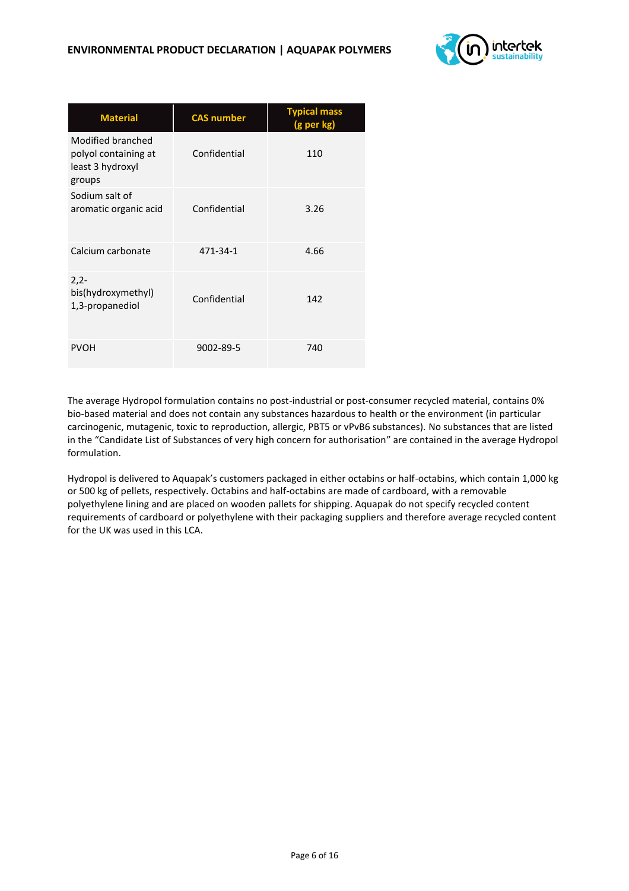

| <b>Material</b>                                                         | <b>CAS number</b> | <b>Typical mass</b><br>(g per kg) |
|-------------------------------------------------------------------------|-------------------|-----------------------------------|
| Modified branched<br>polyol containing at<br>least 3 hydroxyl<br>groups | Confidential      | 110                               |
| Sodium salt of<br>aromatic organic acid                                 | Confidential      | 3.26                              |
| Calcium carbonate                                                       | 471-34-1          | 4.66                              |
| $2,2-$<br>bis(hydroxymethyl)<br>1,3-propanediol                         | Confidential      | 142                               |
| <b>PVOH</b>                                                             | 9002-89-5         | 740                               |

The average Hydropol formulation contains no post-industrial or post-consumer recycled material, contains 0% bio-based material and does not contain any substances hazardous to health or the environment (in particular carcinogenic, mutagenic, toxic to reproduction, allergic, PBT5 or vPvB6 substances). No substances that are listed in the "Candidate List of Substances of very high concern for authorisation" are contained in the average Hydropol formulation.

Hydropol is delivered to Aquapak's customers packaged in either octabins or half-octabins, which contain 1,000 kg or 500 kg of pellets, respectively. Octabins and half-octabins are made of cardboard, with a removable polyethylene lining and are placed on wooden pallets for shipping. Aquapak do not specify recycled content requirements of cardboard or polyethylene with their packaging suppliers and therefore average recycled content for the UK was used in this LCA.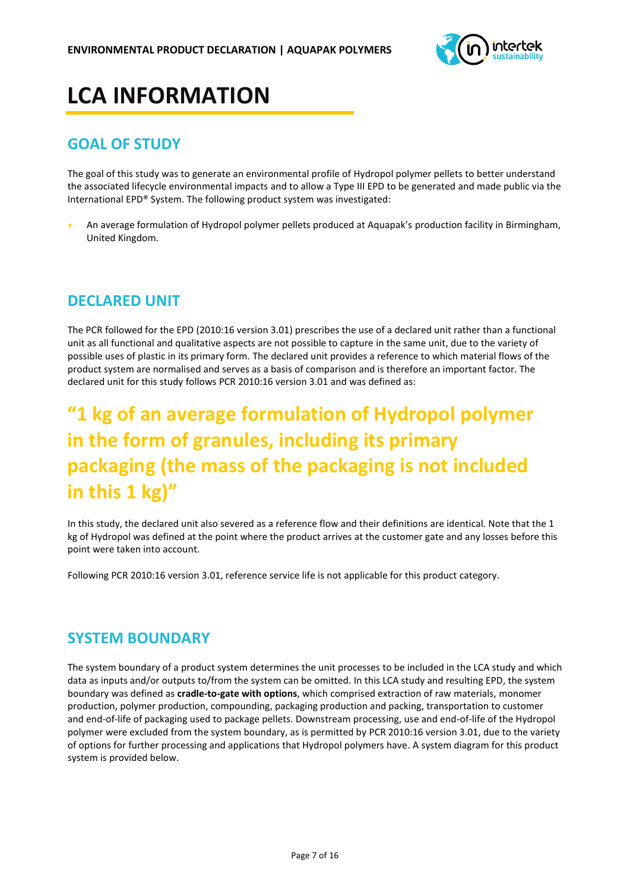

# **LCA INFORMATION**

### **GOAL OF STUDY**

The goal of this study was to generate an environmental profile of Hydropol polymer pellets to better understand the associated lifecycle environmental impacts and to allow a Type III EPD to be generated and made public via the International EPD® System. The following product system was investigated:

• An average formulation of Hydropol polymer pellets produced at Aquapak's production facility in Birmingham, United Kingdom.

### **DECLARED UNIT**

The PCR followed for the EPD (2010:16 version 3.01) prescribes the use of a declared unit rather than a functional unit as all functional and qualitative aspects are not possible to capture in the same unit, due to the variety of possible uses of plastic in its primary form. The declared unit provides a reference to which material flows of the product system are normalised and serves as a basis of comparison and is therefore an important factor. The declared unit for this study follows PCR 2010:16 version 3.01 and was defined as:

### **"1 kg of an average formulation of Hydropol polymer in the form of granules, including its primary packaging (the mass of the packaging is not included in this 1 kg)"**

In this study, the declared unit also severed as a reference flow and their definitions are identical. Note that the 1 kg of Hydropol was defined at the point where the product arrives at the customer gate and any losses before this point were taken into account.

Following PCR 2010:16 version 3.01, reference service life is not applicable for this product category.

### **SYSTEM BOUNDARY**

The system boundary of a product system determines the unit processes to be included in the LCA study and which data as inputs and/or outputs to/from the system can be omitted. In this LCA study and resulting EPD, the system boundary was defined as **cradle-to-gate with options**, which comprised extraction of raw materials, monomer production, polymer production, compounding, packaging production and packing, transportation to customer and end-of-life of packaging used to package pellets. Downstream processing, use and end-of-life of the Hydropol polymer were excluded from the system boundary, as is permitted by PCR 2010:16 version 3.01, due to the variety of options for further processing and applications that Hydropol polymers have. A system diagram for this product system is provided below.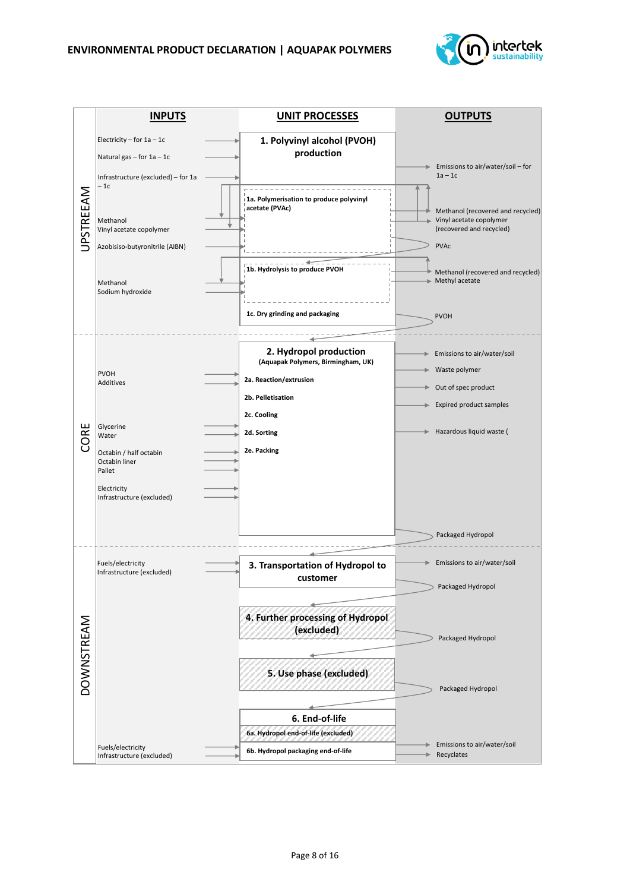

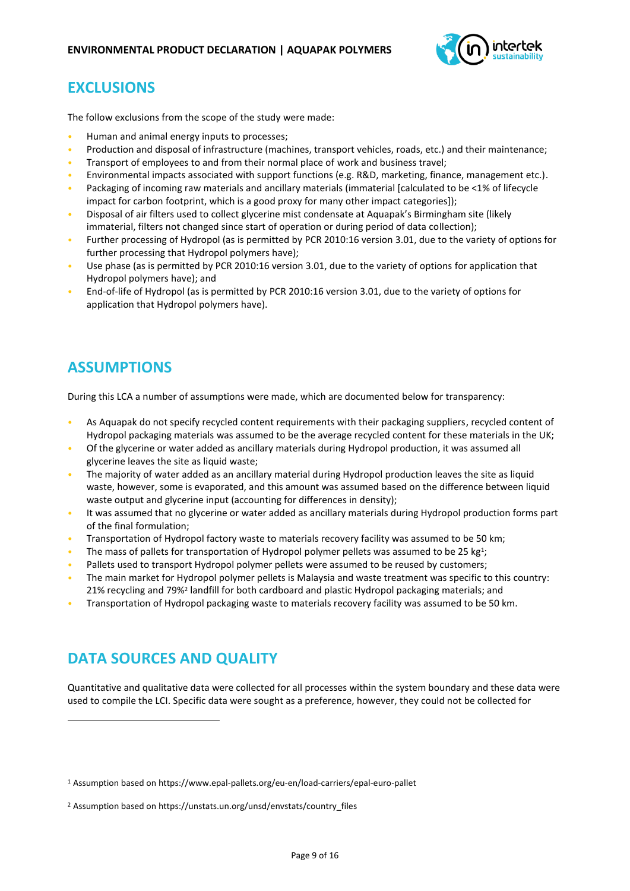

### **EXCLUSIONS**

The follow exclusions from the scope of the study were made:

- Human and animal energy inputs to processes;
- Production and disposal of infrastructure (machines, transport vehicles, roads, etc.) and their maintenance;
- Transport of employees to and from their normal place of work and business travel;
- Environmental impacts associated with support functions (e.g. R&D, marketing, finance, management etc.).
- Packaging of incoming raw materials and ancillary materials (immaterial [calculated to be <1% of lifecycle impact for carbon footprint, which is a good proxy for many other impact categories]);
- Disposal of air filters used to collect glycerine mist condensate at Aquapak's Birmingham site (likely immaterial, filters not changed since start of operation or during period of data collection);
- Further processing of Hydropol (as is permitted by PCR 2010:16 version 3.01, due to the variety of options for further processing that Hydropol polymers have);
- Use phase (as is permitted by PCR 2010:16 version 3.01, due to the variety of options for application that Hydropol polymers have); and
- End-of-life of Hydropol (as is permitted by PCR 2010:16 version 3.01, due to the variety of options for application that Hydropol polymers have).

### **ASSUMPTIONS**

During this LCA a number of assumptions were made, which are documented below for transparency:

- As Aquapak do not specify recycled content requirements with their packaging suppliers, recycled content of Hydropol packaging materials was assumed to be the average recycled content for these materials in the UK;
- Of the glycerine or water added as ancillary materials during Hydropol production, it was assumed all glycerine leaves the site as liquid waste;
- The majority of water added as an ancillary material during Hydropol production leaves the site as liquid waste, however, some is evaporated, and this amount was assumed based on the difference between liquid waste output and glycerine input (accounting for differences in density);
- It was assumed that no glycerine or water added as ancillary materials during Hydropol production forms part of the final formulation;
- Transportation of Hydropol factory waste to materials recovery facility was assumed to be 50 km;
- The mass of pallets for transportation of Hydropol polymer pellets was assumed to be 25 kg<sup>1</sup>;
- Pallets used to transport Hydropol polymer pellets were assumed to be reused by customers;
- The main market for Hydropol polymer pellets is Malaysia and waste treatment was specific to this country: 21% recycling and 79%<sup>2</sup> landfill for both cardboard and plastic Hydropol packaging materials; and
- Transportation of Hydropol packaging waste to materials recovery facility was assumed to be 50 km.

### **DATA SOURCES AND QUALITY**

Quantitative and qualitative data were collected for all processes within the system boundary and these data were used to compile the LCI. Specific data were sought as a preference, however, they could not be collected for

<sup>1</sup> Assumption based on<https://www.epal-pallets.org/eu-en/load-carriers/epal-euro-pallet>

<sup>2</sup> Assumption based on https://unstats.un.org/unsd/envstats/country\_files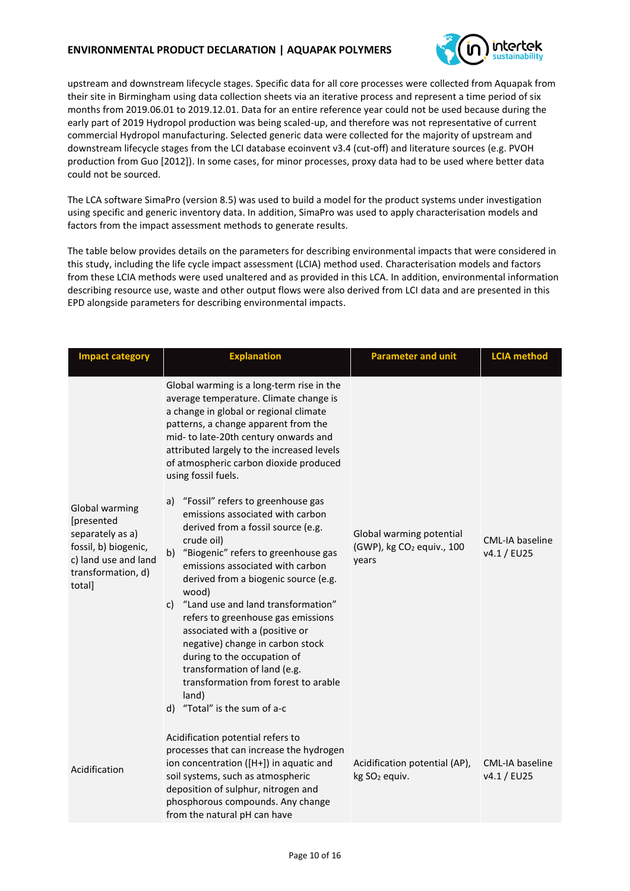### **ENVIRONMENTAL PRODUCT DECLARATION | AQUAPAK POLYMERS**



upstream and downstream lifecycle stages. Specific data for all core processes were collected from Aquapak from their site in Birmingham using data collection sheets via an iterative process and represent a time period of six months from 2019.06.01 to 2019.12.01. Data for an entire reference year could not be used because during the early part of 2019 Hydropol production was being scaled-up, and therefore was not representative of current commercial Hydropol manufacturing. Selected generic data were collected for the majority of upstream and downstream lifecycle stages from the LCI database ecoinvent v3.4 (cut-off) and literature sources (e.g. PVOH production from Guo [2012]). In some cases, for minor processes, proxy data had to be used where better data could not be sourced.

The LCA software SimaPro (version 8.5) was used to build a model for the product systems under investigation using specific and generic inventory data. In addition, SimaPro was used to apply characterisation models and factors from the impact assessment methods to generate results.

The table below provides details on the parameters for describing environmental impacts that were considered in this study, including the life cycle impact assessment (LCIA) method used. Characterisation models and factors from these LCIA methods were used unaltered and as provided in this LCA. In addition, environmental information describing resource use, waste and other output flows were also derived from LCI data and are presented in this EPD alongside parameters for describing environmental impacts.

| <b>Impact category</b>                                                                                                           | <b>Explanation</b>                                                                                                                                                                                                                                                                                                                                                                                                                                                                                                                                                                                                                                                                                                                                                                                                                                                                                      | <b>Parameter and unit</b>                                                  | <b>LCIA</b> method             |
|----------------------------------------------------------------------------------------------------------------------------------|---------------------------------------------------------------------------------------------------------------------------------------------------------------------------------------------------------------------------------------------------------------------------------------------------------------------------------------------------------------------------------------------------------------------------------------------------------------------------------------------------------------------------------------------------------------------------------------------------------------------------------------------------------------------------------------------------------------------------------------------------------------------------------------------------------------------------------------------------------------------------------------------------------|----------------------------------------------------------------------------|--------------------------------|
| Global warming<br>[presented<br>separately as a)<br>fossil, b) biogenic,<br>c) land use and land<br>transformation, d)<br>total] | Global warming is a long-term rise in the<br>average temperature. Climate change is<br>a change in global or regional climate<br>patterns, a change apparent from the<br>mid- to late-20th century onwards and<br>attributed largely to the increased levels<br>of atmospheric carbon dioxide produced<br>using fossil fuels.<br>"Fossil" refers to greenhouse gas<br>a)<br>emissions associated with carbon<br>derived from a fossil source (e.g.<br>crude oil)<br>"Biogenic" refers to greenhouse gas<br>b)<br>emissions associated with carbon<br>derived from a biogenic source (e.g.<br>wood)<br>c) "Land use and land transformation"<br>refers to greenhouse gas emissions<br>associated with a (positive or<br>negative) change in carbon stock<br>during to the occupation of<br>transformation of land (e.g.<br>transformation from forest to arable<br>land)<br>d) "Total" is the sum of a-c | Global warming potential<br>(GWP), kg CO <sub>2</sub> equiv., 100<br>years | CML-IA baseline<br>v4.1 / EU25 |
| Acidification                                                                                                                    | Acidification potential refers to<br>processes that can increase the hydrogen<br>ion concentration ([H+]) in aquatic and<br>soil systems, such as atmospheric<br>deposition of sulphur, nitrogen and<br>phosphorous compounds. Any change<br>from the natural pH can have                                                                                                                                                                                                                                                                                                                                                                                                                                                                                                                                                                                                                               | Acidification potential (AP),<br>kg SO <sub>2</sub> equiv.                 | CML-IA baseline<br>v4.1 / EU25 |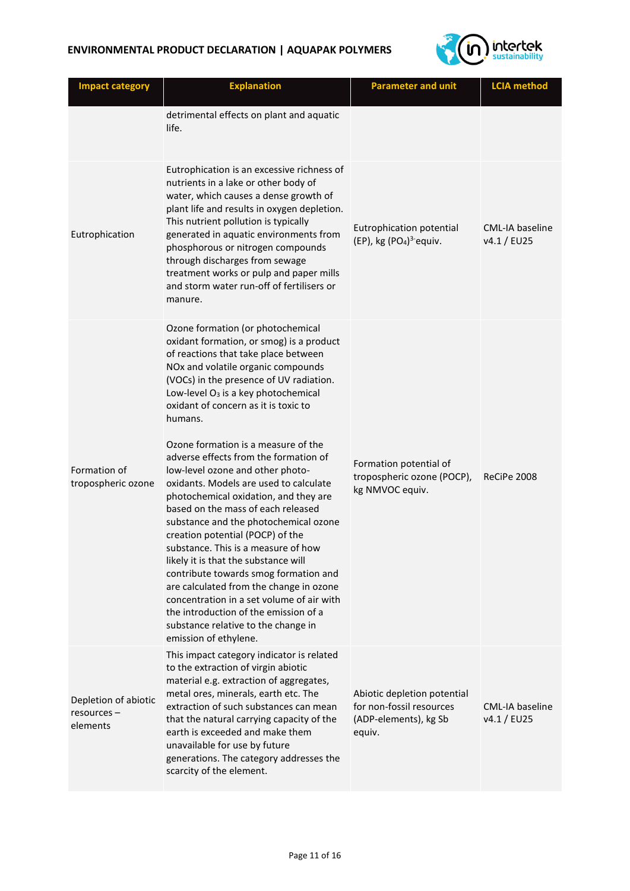

| <b>Impact category</b>                          | <b>Explanation</b>                                                                                                                                                                                                                                                                                                                                                                                                                                                                                                                                                                                                                                                                                                                                                                                                                                                                                                                                              | <b>Parameter and unit</b>                                                                  | <b>LCIA</b> method                    |
|-------------------------------------------------|-----------------------------------------------------------------------------------------------------------------------------------------------------------------------------------------------------------------------------------------------------------------------------------------------------------------------------------------------------------------------------------------------------------------------------------------------------------------------------------------------------------------------------------------------------------------------------------------------------------------------------------------------------------------------------------------------------------------------------------------------------------------------------------------------------------------------------------------------------------------------------------------------------------------------------------------------------------------|--------------------------------------------------------------------------------------------|---------------------------------------|
|                                                 | detrimental effects on plant and aquatic<br>life.                                                                                                                                                                                                                                                                                                                                                                                                                                                                                                                                                                                                                                                                                                                                                                                                                                                                                                               |                                                                                            |                                       |
| Eutrophication                                  | Eutrophication is an excessive richness of<br>nutrients in a lake or other body of<br>water, which causes a dense growth of<br>plant life and results in oxygen depletion.<br>This nutrient pollution is typically<br>generated in aquatic environments from<br>phosphorous or nitrogen compounds<br>through discharges from sewage<br>treatment works or pulp and paper mills<br>and storm water run-off of fertilisers or<br>manure.                                                                                                                                                                                                                                                                                                                                                                                                                                                                                                                          | Eutrophication potential<br>(EP), kg (PO <sub>4</sub> ) <sup>3-</sup> equiv.               | CML-IA baseline<br>v4.1 / EU25        |
| Formation of<br>tropospheric ozone              | Ozone formation (or photochemical<br>oxidant formation, or smog) is a product<br>of reactions that take place between<br>NOx and volatile organic compounds<br>(VOCs) in the presence of UV radiation.<br>Low-level O <sub>3</sub> is a key photochemical<br>oxidant of concern as it is toxic to<br>humans.<br>Ozone formation is a measure of the<br>adverse effects from the formation of<br>low-level ozone and other photo-<br>oxidants. Models are used to calculate<br>photochemical oxidation, and they are<br>based on the mass of each released<br>substance and the photochemical ozone<br>creation potential (POCP) of the<br>substance. This is a measure of how<br>likely it is that the substance will<br>contribute towards smog formation and<br>are calculated from the change in ozone<br>concentration in a set volume of air with<br>the introduction of the emission of a<br>substance relative to the change in<br>emission of ethylene. | Formation potential of<br>tropospheric ozone (POCP),<br>kg NMVOC equiv.                    | ReCiPe 2008                           |
| Depletion of abiotic<br>resources -<br>elements | This impact category indicator is related<br>to the extraction of virgin abiotic<br>material e.g. extraction of aggregates,<br>metal ores, minerals, earth etc. The<br>extraction of such substances can mean<br>that the natural carrying capacity of the<br>earth is exceeded and make them<br>unavailable for use by future<br>generations. The category addresses the<br>scarcity of the element.                                                                                                                                                                                                                                                                                                                                                                                                                                                                                                                                                           | Abiotic depletion potential<br>for non-fossil resources<br>(ADP-elements), kg Sb<br>equiv. | <b>CML-IA baseline</b><br>v4.1 / EU25 |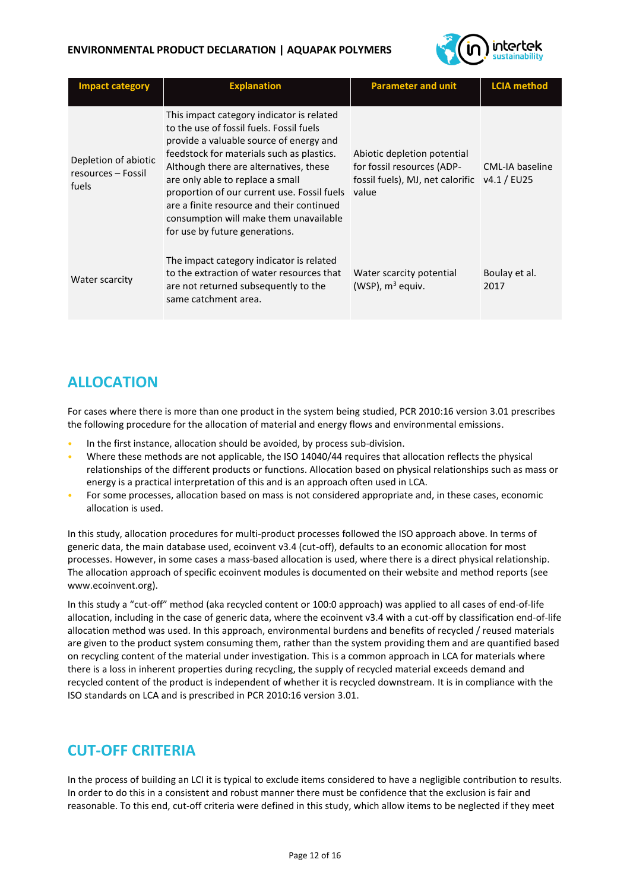### **ENVIRONMENTAL PRODUCT DECLARATION | AQUAPAK POLYMERS**



| <b>Impact category</b>                              | <b>Explanation</b>                                                                                                                                                                                                                                                                                                                                                                                                                  | <b>Parameter and unit</b>                                                                              | <b>LCIA</b> method             |
|-----------------------------------------------------|-------------------------------------------------------------------------------------------------------------------------------------------------------------------------------------------------------------------------------------------------------------------------------------------------------------------------------------------------------------------------------------------------------------------------------------|--------------------------------------------------------------------------------------------------------|--------------------------------|
| Depletion of abiotic<br>resources - Fossil<br>fuels | This impact category indicator is related<br>to the use of fossil fuels. Fossil fuels<br>provide a valuable source of energy and<br>feedstock for materials such as plastics.<br>Although there are alternatives, these<br>are only able to replace a small<br>proportion of our current use. Fossil fuels<br>are a finite resource and their continued<br>consumption will make them unavailable<br>for use by future generations. | Abiotic depletion potential<br>for fossil resources (ADP-<br>fossil fuels), MJ, net calorific<br>value | CML-IA baseline<br>v4.1 / EU25 |
| Water scarcity                                      | The impact category indicator is related<br>to the extraction of water resources that<br>are not returned subsequently to the<br>same catchment area.                                                                                                                                                                                                                                                                               | Water scarcity potential<br>(WSP), $m^3$ equiv.                                                        | Boulay et al.<br>2017          |

### **ALLOCATION**

For cases where there is more than one product in the system being studied, PCR 2010:16 version 3.01 prescribes the following procedure for the allocation of material and energy flows and environmental emissions.

- In the first instance, allocation should be avoided, by process sub-division.
- Where these methods are not applicable, the ISO 14040/44 requires that allocation reflects the physical relationships of the different products or functions. Allocation based on physical relationships such as mass or energy is a practical interpretation of this and is an approach often used in LCA.
- For some processes, allocation based on mass is not considered appropriate and, in these cases, economic allocation is used.

In this study, allocation procedures for multi-product processes followed the ISO approach above. In terms of generic data, the main database used, ecoinvent v3.4 (cut-off), defaults to an economic allocation for most processes. However, in some cases a mass-based allocation is used, where there is a direct physical relationship. The allocation approach of specific ecoinvent modules is documented on their website and method reports (see [www.ecoinvent.org\)](http://www.ecoinvent.org/).

In this study a "cut-off" method (aka recycled content or 100:0 approach) was applied to all cases of end-of-life allocation, including in the case of generic data, where the ecoinvent v3.4 with a cut-off by classification end-of-life allocation method was used. In this approach, environmental burdens and benefits of recycled / reused materials are given to the product system consuming them, rather than the system providing them and are quantified based on recycling content of the material under investigation. This is a common approach in LCA for materials where there is a loss in inherent properties during recycling, the supply of recycled material exceeds demand and recycled content of the product is independent of whether it is recycled downstream. It is in compliance with the ISO standards on LCA and is prescribed in PCR 2010:16 version 3.01.

### **CUT-OFF CRITERIA**

In the process of building an LCI it is typical to exclude items considered to have a negligible contribution to results. In order to do this in a consistent and robust manner there must be confidence that the exclusion is fair and reasonable. To this end, cut-off criteria were defined in this study, which allow items to be neglected if they meet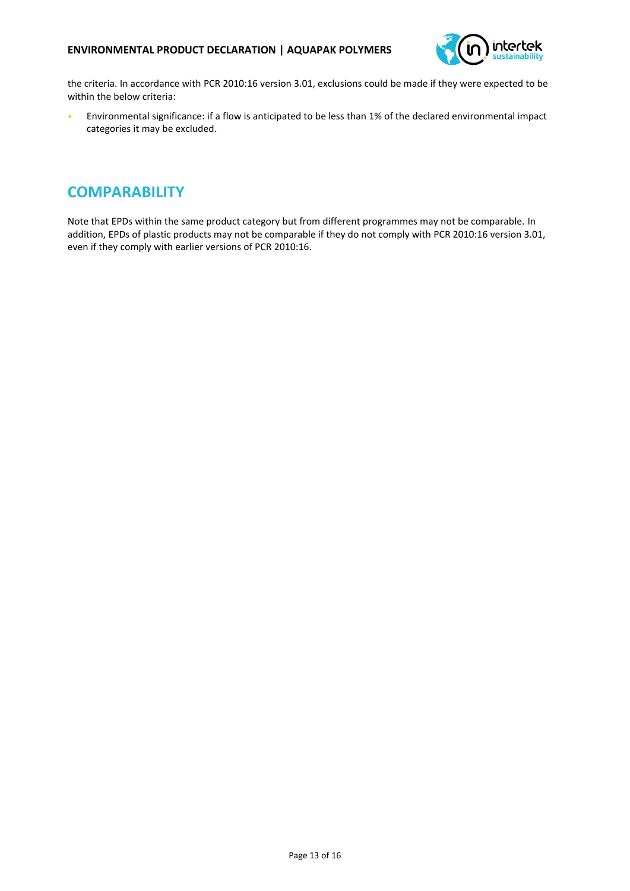

the criteria. In accordance with PCR 2010:16 version 3.01, exclusions could be made if they were expected to be within the below criteria:

• Environmental significance: if a flow is anticipated to be less than 1% of the declared environmental impact categories it may be excluded.

### **COMPARABILITY**

Note that EPDs within the same product category but from different programmes may not be comparable. In addition, EPDs of plastic products may not be comparable if they do not comply with PCR 2010:16 version 3.01, even if they comply with earlier versions of PCR 2010:16.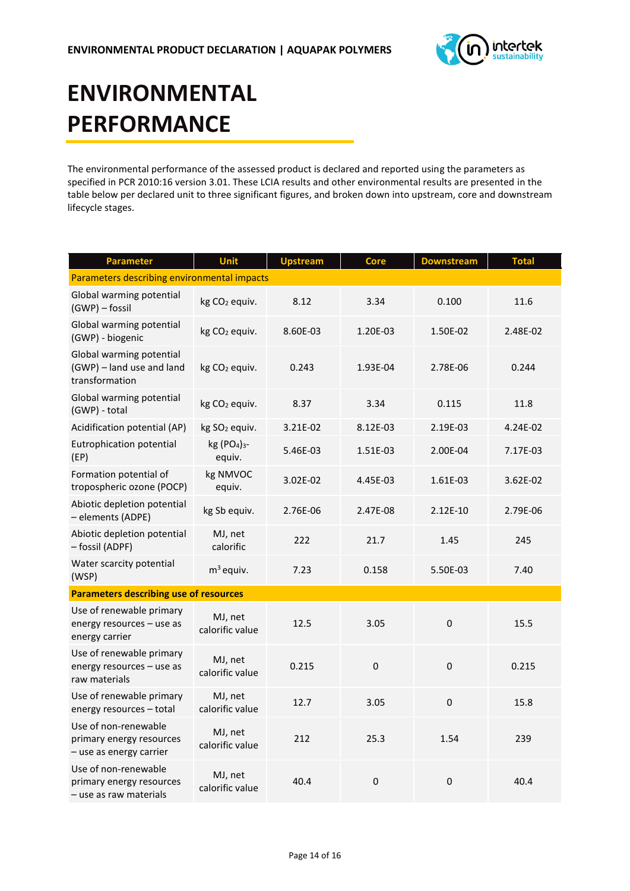

# **ENVIRONMENTAL PERFORMANCE**

The environmental performance of the assessed product is declared and reported using the parameters as specified in PCR 2010:16 version 3.01. These LCIA results and other environmental results are presented in the table below per declared unit to three significant figures, and broken down into upstream, core and downstream lifecycle stages.

| <b>Parameter</b>                                                            | Unit                                           | <b>Upstream</b> | Core        | <b>Downstream</b> | <b>Total</b> |
|-----------------------------------------------------------------------------|------------------------------------------------|-----------------|-------------|-------------------|--------------|
| Parameters describing environmental impacts                                 |                                                |                 |             |                   |              |
| Global warming potential<br>(GWP) - fossil                                  | kg CO <sub>2</sub> equiv.                      | 8.12            | 3.34        | 0.100             | 11.6         |
| Global warming potential<br>(GWP) - biogenic                                | kg CO <sub>2</sub> equiv.                      | 8.60E-03        | 1.20E-03    | 1.50E-02          | 2.48E-02     |
| Global warming potential<br>(GWP) - land use and land<br>transformation     | kg CO <sub>2</sub> equiv.                      | 0.243           | 1.93E-04    | 2.78E-06          | 0.244        |
| Global warming potential<br>(GWP) - total                                   | kg CO <sub>2</sub> equiv.                      | 8.37            | 3.34        | 0.115             | 11.8         |
| Acidification potential (AP)                                                | kg SO <sub>2</sub> equiv.                      | 3.21E-02        | 8.12E-03    | 2.19E-03          | 4.24E-02     |
| Eutrophication potential<br>(EP)                                            | kg (PO <sub>4</sub> ) <sub>3</sub> -<br>equiv. | 5.46E-03        | 1.51E-03    | 2.00E-04          | 7.17E-03     |
| Formation potential of<br>tropospheric ozone (POCP)                         | kg NMVOC<br>equiv.                             | 3.02E-02        | 4.45E-03    | 1.61E-03          | 3.62E-02     |
| Abiotic depletion potential<br>- elements (ADPE)                            | kg Sb equiv.                                   | 2.76E-06        | 2.47E-08    | 2.12E-10          | 2.79E-06     |
| Abiotic depletion potential<br>- fossil (ADPF)                              | MJ, net<br>calorific                           | 222             | 21.7        | 1.45              | 245          |
| Water scarcity potential<br>(WSP)                                           | $m3$ equiv.                                    | 7.23            | 0.158       | 5.50E-03          | 7.40         |
| <b>Parameters describing use of resources</b>                               |                                                |                 |             |                   |              |
| Use of renewable primary<br>energy resources - use as<br>energy carrier     | MJ, net<br>calorific value                     | 12.5            | 3.05        | 0                 | 15.5         |
| Use of renewable primary<br>energy resources - use as<br>raw materials      | MJ, net<br>calorific value                     | 0.215           | $\mathbf 0$ | $\mathbf 0$       | 0.215        |
| Use of renewable primary<br>energy resources - total                        | MJ, net<br>calorific value                     | 12.7            | 3.05        | $\mathbf 0$       | 15.8         |
| Use of non-renewable<br>primary energy resources<br>- use as energy carrier | MJ, net<br>calorific value                     | 212             | 25.3        | 1.54              | 239          |
| Use of non-renewable<br>primary energy resources<br>- use as raw materials  | MJ, net<br>calorific value                     | 40.4            | $\mathbf 0$ | $\mathbf 0$       | 40.4         |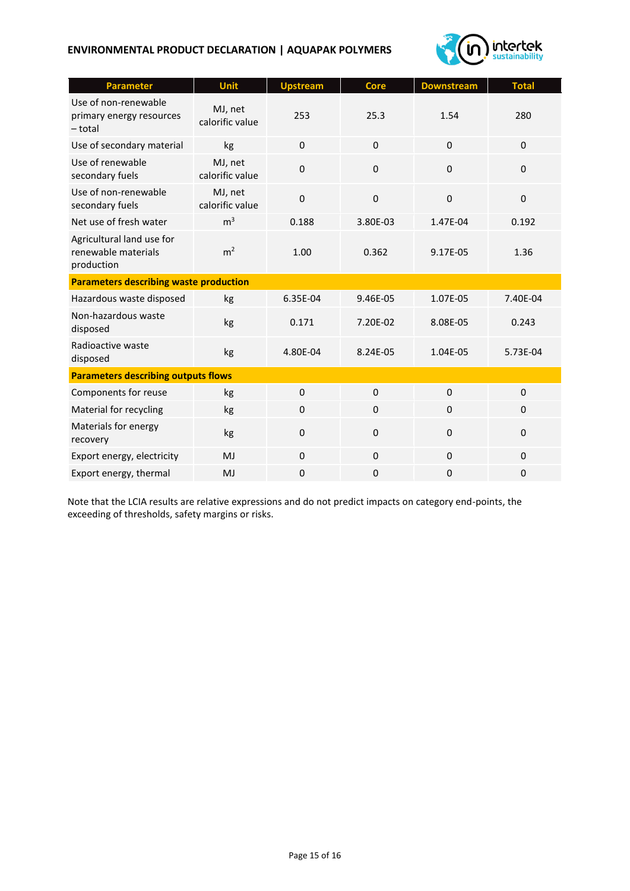### **ENVIRONMENTAL PRODUCT DECLARATION | AQUAPAK POLYMERS**



| <b>Parameter</b>                                               | Unit                       | <b>Upstream</b> | <b>Core</b> | <b>Downstream</b> | <b>Total</b> |  |
|----------------------------------------------------------------|----------------------------|-----------------|-------------|-------------------|--------------|--|
| Use of non-renewable<br>primary energy resources<br>- total    | MJ, net<br>calorific value | 253             | 25.3        | 1.54              | 280          |  |
| Use of secondary material                                      | kg                         | $\mathbf 0$     | $\mathbf 0$ | $\mathbf 0$       | $\mathbf 0$  |  |
| Use of renewable<br>secondary fuels                            | MJ, net<br>calorific value | $\mathbf 0$     | $\Omega$    | $\Omega$          | $\Omega$     |  |
| Use of non-renewable<br>secondary fuels                        | MJ, net<br>calorific value | $\mathbf 0$     | $\Omega$    | $\Omega$          | $\Omega$     |  |
| Net use of fresh water                                         | m <sup>3</sup>             | 0.188           | 3.80E-03    | 1.47E-04          | 0.192        |  |
| Agricultural land use for<br>renewable materials<br>production | m <sup>2</sup>             | 1.00            | 0.362       | 9.17E-05          | 1.36         |  |
| <b>Parameters describing waste production</b>                  |                            |                 |             |                   |              |  |
| Hazardous waste disposed                                       | kg                         | 6.35E-04        | 9.46E-05    | 1.07E-05          | 7.40E-04     |  |
| Non-hazardous waste<br>disposed                                | kg                         | 0.171           | 7.20E-02    | 8.08E-05          | 0.243        |  |
| Radioactive waste<br>disposed                                  | kg                         | 4.80E-04        | 8.24E-05    | 1.04E-05          | 5.73E-04     |  |
| <b>Parameters describing outputs flows</b>                     |                            |                 |             |                   |              |  |
| Components for reuse                                           | kg                         | $\Omega$        | $\Omega$    | $\Omega$          | $\Omega$     |  |
| Material for recycling                                         | kg                         | $\mathbf 0$     | $\mathbf 0$ | $\Omega$          | $\mathbf 0$  |  |
| Materials for energy<br>recovery                               | kg                         | $\mathbf 0$     | $\mathsf 0$ | $\Omega$          | $\Omega$     |  |
| Export energy, electricity                                     | MJ                         | $\mathbf 0$     | $\mathbf 0$ | $\mathbf 0$       | $\mathbf 0$  |  |
| Export energy, thermal                                         | MJ                         | $\mathbf 0$     | $\mathbf 0$ | $\mathbf 0$       | 0            |  |

Note that the LCIA results are relative expressions and do not predict impacts on category end-points, the exceeding of thresholds, safety margins or risks.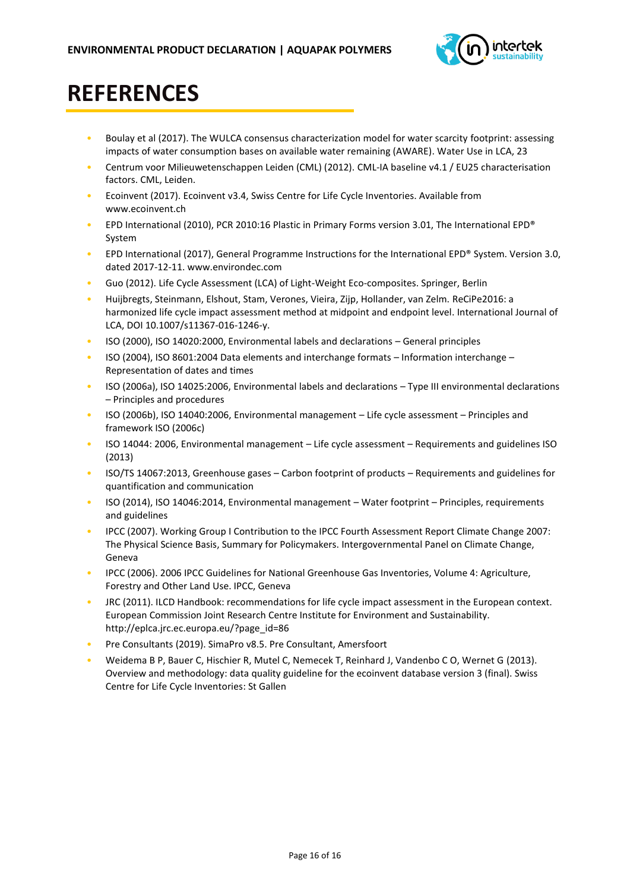

## **REFERENCES**

- Boulay et al (2017). The WULCA consensus characterization model for water scarcity footprint: assessing impacts of water consumption bases on available water remaining (AWARE). Water Use in LCA, 23
- Centrum voor Milieuwetenschappen Leiden (CML) (2012). CML-IA baseline v4.1 / EU25 characterisation factors. CML, Leiden.
- Ecoinvent (2017). Ecoinvent v3.4, Swiss Centre for Life Cycle Inventories. Available from [www.ecoinvent.ch](http://www.ecoinvent.ch/)
- EPD International (2010), PCR 2010:16 Plastic in Primary Forms version 3.01, [The](http://www.envirodec.com/) International EPD® System
- EPD International (2017), General Programme Instructions for the International EPD® System. Version 3.0, dated 2017-12-11. www.environdec.com
- Guo (2012). Life Cycle Assessment (LCA) of Light-Weight Eco-composites. Springer, Berlin
- Huijbregts, Steinmann, Elshout, Stam, Verones, Vieira, Zijp, Hollander, van Zelm. [ReCiPe2016: a](https://www.springerprofessional.de/en/recipe2016-a-harmonised-life-cycle-impact-assessment-method-at-m/11919942)  [harmonized life cycle impact assessment method at midpoint and endpoint level.](https://www.springerprofessional.de/en/recipe2016-a-harmonised-life-cycle-impact-assessment-method-at-m/11919942) International Journal of LCA, DOI 10.1007/s11367-016-1246-y.
- ISO (2000), ISO 14020:2000, Environmental labels and declarations General principles
- ISO (2004), ISO 8601:2004 Data elements and interchange formats Information interchange Representation of dates and times
- ISO (2006a), ISO 14025:2006, Environmental labels and declarations Type III environmental declarations – Principles and procedures
- ISO (2006b), ISO 14040:2006, Environmental management Life cycle assessment Principles and framework ISO (2006c)
- ISO 14044: 2006, Environmental management Life cycle assessment Requirements and guidelines ISO (2013)
- ISO/TS 14067:2013, Greenhouse gases Carbon footprint of products Requirements and guidelines for quantification and communication
- ISO (2014), ISO 14046:2014, Environmental management Water footprint Principles, requirements and guidelines
- IPCC (2007). Working Group I Contribution to the IPCC Fourth Assessment Report Climate Change 2007: The Physical Science Basis, Summary for Policymakers. Intergovernmental Panel on Climate Change, Geneva
- IPCC (2006). 2006 IPCC Guidelines for National Greenhouse Gas Inventories, Volume 4: Agriculture, Forestry and Other Land Use. IPCC, Geneva
- JRC (2011). ILCD Handbook: recommendations for life cycle impact assessment in the European context. European Commission Joint Research Centre Institute for Environment and Sustainability. [http://eplca.jrc.ec.europa.eu/?page\\_id=86](http://eplca.jrc.ec.europa.eu/?page_id=86)
- Pre Consultants (2019). SimaPro v8.5. Pre Consultant, Amersfoort
- Weidema B P, Bauer C, Hischier R, Mutel C, Nemecek T, Reinhard J, Vandenbo C O, Wernet G (2013). Overview and methodology: data quality guideline for the ecoinvent database version 3 (final). Swiss Centre for Life Cycle Inventories: St Gallen